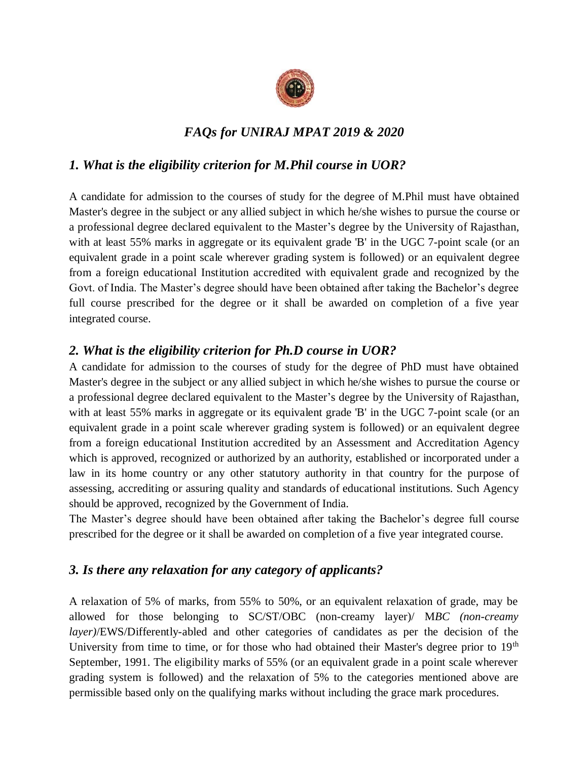

## *FAQs for UNIRAJ MPAT 2019 & 2020*

#### *1. What is the eligibility criterion for M.Phil course in UOR?*

A candidate for admission to the courses of study for the degree of M.Phil must have obtained Master's degree in the subject or any allied subject in which he/she wishes to pursue the course or a professional degree declared equivalent to the Master's degree by the University of Rajasthan, with at least 55% marks in aggregate or its equivalent grade 'B' in the UGC 7-point scale (or an equivalent grade in a point scale wherever grading system is followed) or an equivalent degree from a foreign educational Institution accredited with equivalent grade and recognized by the Govt. of India. The Master's degree should have been obtained after taking the Bachelor's degree full course prescribed for the degree or it shall be awarded on completion of a five year integrated course.

## *2. What is the eligibility criterion for Ph.D course in UOR?*

A candidate for admission to the courses of study for the degree of PhD must have obtained Master's degree in the subject or any allied subject in which he/she wishes to pursue the course or a professional degree declared equivalent to the Master's degree by the University of Rajasthan, with at least 55% marks in aggregate or its equivalent grade 'B' in the UGC 7-point scale (or an equivalent grade in a point scale wherever grading system is followed) or an equivalent degree from a foreign educational Institution accredited by an Assessment and Accreditation Agency which is approved, recognized or authorized by an authority, established or incorporated under a law in its home country or any other statutory authority in that country for the purpose of assessing, accrediting or assuring quality and standards of educational institutions. Such Agency should be approved, recognized by the Government of India.

The Master's degree should have been obtained after taking the Bachelor's degree full course prescribed for the degree or it shall be awarded on completion of a five year integrated course.

#### *3. Is there any relaxation for any category of applicants?*

A relaxation of 5% of marks, from 55% to 50%, or an equivalent relaxation of grade, may be allowed for those belonging to SC/ST/OBC (non-creamy layer)/ M*BC (non-creamy layer)*/EWS/Differently-abled and other categories of candidates as per the decision of the University from time to time, or for those who had obtained their Master's degree prior to  $19<sup>th</sup>$ September, 1991. The eligibility marks of 55% (or an equivalent grade in a point scale wherever grading system is followed) and the relaxation of 5% to the categories mentioned above are permissible based only on the qualifying marks without including the grace mark procedures.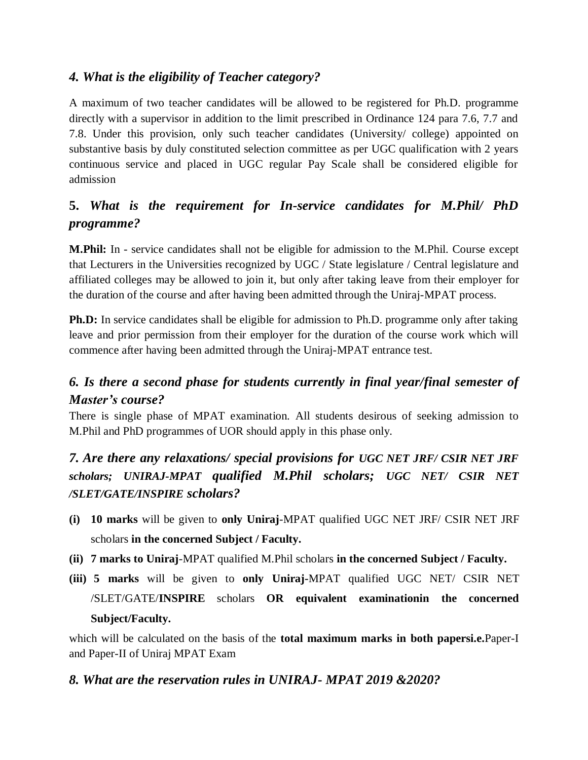## *4. What is the eligibility of Teacher category?*

A maximum of two teacher candidates will be allowed to be registered for Ph.D. programme directly with a supervisor in addition to the limit prescribed in Ordinance 124 para 7.6, 7.7 and 7.8. Under this provision, only such teacher candidates (University/ college) appointed on substantive basis by duly constituted selection committee as per UGC qualification with 2 years continuous service and placed in UGC regular Pay Scale shall be considered eligible for admission

# **5.** *What is the requirement for In-service candidates for M.Phil/ PhD programme?*

**M.Phil:** In - service candidates shall not be eligible for admission to the M.Phil. Course except that Lecturers in the Universities recognized by UGC / State legislature / Central legislature and affiliated colleges may be allowed to join it, but only after taking leave from their employer for the duration of the course and after having been admitted through the Uniraj-MPAT process.

**Ph.D:** In service candidates shall be eligible for admission to Ph.D. programme only after taking leave and prior permission from their employer for the duration of the course work which will commence after having been admitted through the Uniraj-MPAT entrance test.

# *6. Is there a second phase for students currently in final year/final semester of Master's course?*

There is single phase of MPAT examination. All students desirous of seeking admission to M.Phil and PhD programmes of UOR should apply in this phase only.

*7. Are there any relaxations/ special provisions for UGC NET JRF/ CSIR NET JRF scholars; UNIRAJ-MPAT qualified M.Phil scholars; UGC NET/ CSIR NET /SLET/GATE/INSPIRE scholars?*

- **(i) 10 marks** will be given to **only Uniraj**-MPAT qualified UGC NET JRF/ CSIR NET JRF scholars **in the concerned Subject / Faculty.**
- **(ii) 7 marks to Uniraj**-MPAT qualified M.Phil scholars **in the concerned Subject / Faculty.**
- **(iii) 5 marks** will be given to **only Uniraj-**MPAT qualified UGC NET/ CSIR NET /SLET/GATE/**INSPIRE** scholars **OR equivalent examinationin the concerned Subject/Faculty.**

which will be calculated on the basis of the **total maximum marks in both papersi.e.**Paper-I and Paper-II of Uniraj MPAT Exam

#### *8. What are the reservation rules in UNIRAJ- MPAT 2019 &2020?*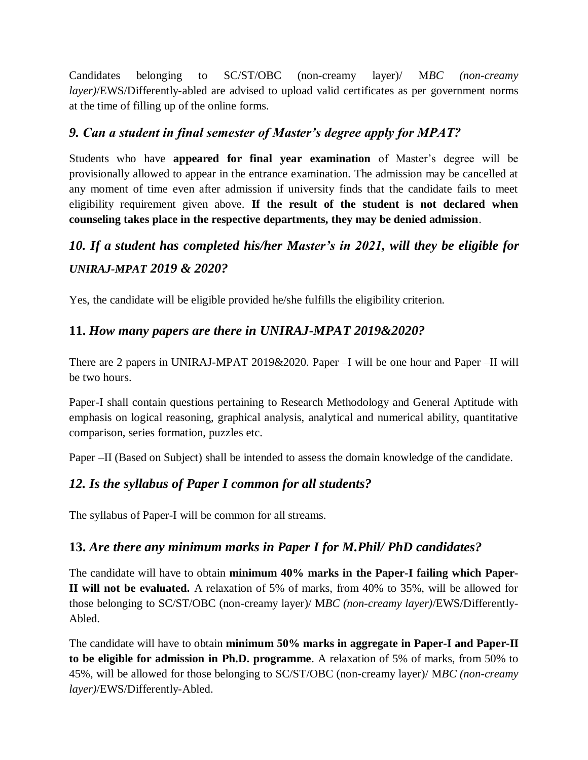Candidates belonging to SC/ST/OBC (non-creamy layer)/ M*BC (non-creamy layer)*/EWS/Differently-abled are advised to upload valid certificates as per government norms at the time of filling up of the online forms.

#### *9. Can a student in final semester of Master's degree apply for MPAT?*

Students who have **appeared for final year examination** of Master's degree will be provisionally allowed to appear in the entrance examination. The admission may be cancelled at any moment of time even after admission if university finds that the candidate fails to meet eligibility requirement given above. **If the result of the student is not declared when counseling takes place in the respective departments, they may be denied admission**.

# *10. If a student has completed his/her Master's in 2021, will they be eligible for UNIRAJ-MPAT 2019 & 2020?*

Yes, the candidate will be eligible provided he/she fulfills the eligibility criterion.

## **11.** *How many papers are there in UNIRAJ-MPAT 2019&2020?*

There are 2 papers in UNIRAJ-MPAT 2019&2020. Paper –I will be one hour and Paper –II will be two hours.

Paper-I shall contain questions pertaining to Research Methodology and General Aptitude with emphasis on logical reasoning, graphical analysis, analytical and numerical ability, quantitative comparison, series formation, puzzles etc.

Paper –II (Based on Subject) shall be intended to assess the domain knowledge of the candidate.

# *12. Is the syllabus of Paper I common for all students?*

The syllabus of Paper-I will be common for all streams.

#### **13.** *Are there any minimum marks in Paper I for M.Phil/ PhD candidates?*

The candidate will have to obtain **minimum 40% marks in the Paper-I failing which Paper-II will not be evaluated.** A relaxation of 5% of marks, from 40% to 35%, will be allowed for those belonging to SC/ST/OBC (non-creamy layer)/ M*BC (non-creamy layer)*/EWS/Differently-Abled.

The candidate will have to obtain **minimum 50% marks in aggregate in Paper-I and Paper-II to be eligible for admission in Ph.D. programme**. A relaxation of 5% of marks, from 50% to 45%, will be allowed for those belonging to SC/ST/OBC (non-creamy layer)/ M*BC (non-creamy layer)*/EWS/Differently-Abled.